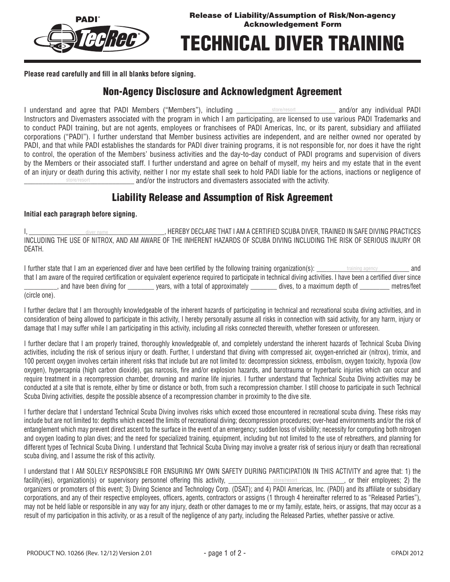

# Technical Diver Training

**Please read carefully and fill in all blanks before signing.**

#### Non-Agency Disclosure and Acknowledgment Agreement

I understand and agree that PADI Members ("Members"), including **we are all as the example and/or any individual PADI** Instructors and Divemasters associated with the program in which I am participating, are licensed to use various PADI Trademarks and to conduct PADI training, but are not agents, employees or franchisees of PADI Americas, Inc, or its parent, subsidiary and affiliated corporations ("PADI"). I further understand that Member business activities are independent, and are neither owned nor operated by PADI, and that while PADI establishes the standards for PADI diver training programs, it is not responsible for, nor does it have the right to control, the operation of the Members' business activities and the day-to-day conduct of PADI programs and supervision of divers by the Members or their associated staff. I further understand and agree on behalf of myself, my heirs and my estate that in the event of an injury or death during this activity, neither I nor my estate shall seek to hold PADI liable for the actions, inactions or negligence of and/or the instructors and divemasters associated with the activity. store/resort store/resort

### Liability Release and Assumption of Risk Agreement

#### **Initial each paragraph before signing.**

I, and the state of the state of the set of the set of the set of the set of the scuba diverse in the set of the set of the set of the set of the set of the set of the set of the set of the set of the set of the set of the INCLUDING THE USE OF NITROX, AND AM AWARE OF THE INHERENT HAZARDS OF SCUBA DIVING INCLUDING THE RISK OF SERIOUS INJURY OR DEATH. diver name

I further state that I am an experienced diver and have been certified by the following training organization(s): \_\_\_\_\_\_\_\_\_\_\_\_\_\_\_\_\_\_\_\_\_\_\_\_\_\_\_\_ and training agency that I am aware of the required certification or equivalent experience required to participate in technical diving activities. I have been a certified diver since , and have been diving for vears, with a total of approximately dives, to a maximum depth of computers/feet (circle one).

I further declare that I am thoroughly knowledgeable of the inherent hazards of participating in technical and recreational scuba diving activities, and in consideration of being allowed to participate in this activity, I hereby personally assume all risks in connection with said activity, for any harm, injury or damage that I may suffer while I am participating in this activity, including all risks connected therewith, whether foreseen or unforeseen.

I further declare that I am properly trained, thoroughly knowledgeable of, and completely understand the inherent hazards of Technical Scuba Diving activities, including the risk of serious injury or death. Further, I understand that diving with compressed air, oxygen-enriched air (nitrox), trimix, and 100 percent oxygen involves certain inherent risks that include but are not limited to: decompression sickness, embolism, oxygen toxicity, hypoxia (low oxygen), hypercapnia (high carbon dioxide), gas narcosis, fire and/or explosion hazards, and barotrauma or hyperbaric injuries which can occur and require treatment in a recompression chamber, drowning and marine life injuries. I further understand that Technical Scuba Diving activities may be conducted at a site that is remote, either by time or distance or both, from such a recompression chamber. I still choose to participate in such Technical Scuba Diving activities, despite the possible absence of a recompression chamber in proximity to the dive site.

I further declare that I understand Technical Scuba Diving involves risks which exceed those encountered in recreational scuba diving. These risks may include but are not limited to: depths which exceed the limits of recreational diving; decompression procedures; over-head environments and/or the risk of entanglement which may prevent direct ascent to the surface in the event of an emergency; sudden loss of visibility; necessity for computing both nitrogen and oxygen loading to plan dives; and the need for specialized training, equipment, including but not limited to the use of rebreathers, and planning for different types of Technical Scuba Diving. I understand that Technical Scuba Diving may involve a greater risk of serious injury or death than recreational scuba diving, and I assume the risk of this activity.

I understand that I AM SOLELY RESPONSIBLE FOR ENSURING MY OWN SAFETY DURING PARTICIPATION IN THIS ACTIVITY and agree that: 1) the facility(ies), organization(s) or supervisory personnel offering this activity, \_\_\_\_\_\_\_\_\_\_\_\_\_\_\_\_\_\_\_\_store/resort \_\_\_\_\_\_\_\_\_\_\_\_\_\_, or their employees; 2) the organizers or promoters of this event; 3) Diving Science and Technology Corp. (DSAT); and 4) PADI Americas, Inc. (PADI) and its affiliate or subsidiary corporations, and any of their respective employees, officers, agents, contractors or assigns (1 through 4 hereinafter referred to as "Released Parties"), may not be held liable or responsible in any way for any injury, death or other damages to me or my family, estate, heirs, or assigns, that may occur as a result of my participation in this activity, or as a result of the negligence of any party, including the Released Parties, whether passive or active.